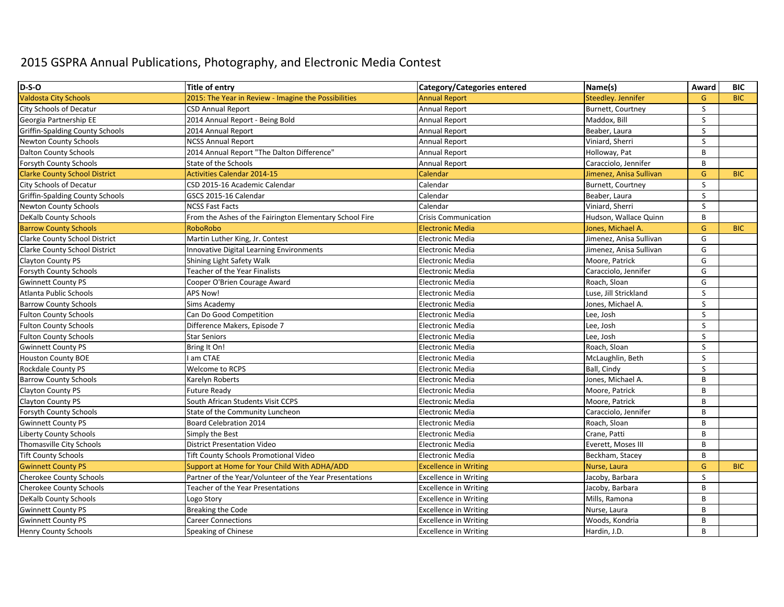## 2015 GSPRA Annual Publications, Photography, and Electronic Media Contest

| D-S-O                                  | Title of entry                                          | <b>Category/Categories entered</b> | Name(s)                 | Award        | <b>BIC</b> |
|----------------------------------------|---------------------------------------------------------|------------------------------------|-------------------------|--------------|------------|
| <b>Valdosta City Schools</b>           | 2015: The Year in Review - Imagine the Possibilities    | <b>Annual Report</b>               | Steedley. Jennifer      | G            | <b>BIC</b> |
| City Schools of Decatur                | <b>CSD Annual Report</b>                                | <b>Annual Report</b>               | Burnett, Courtney       | S            |            |
| Georgia Partnership EE                 | 2014 Annual Report - Being Bold                         | <b>Annual Report</b>               | Maddox, Bill            | S            |            |
| <b>Griffin-Spalding County Schools</b> | 2014 Annual Report                                      | Annual Report                      | Beaber, Laura           | $\mathsf{S}$ |            |
| <b>Newton County Schools</b>           | <b>NCSS Annual Report</b>                               | <b>Annual Report</b>               | Viniard, Sherri         | $\mathsf S$  |            |
| Dalton County Schools                  | 2014 Annual Report "The Dalton Difference"              | <b>Annual Report</b>               | Holloway, Pat           | B            |            |
| Forsyth County Schools                 | State of the Schools                                    | <b>Annual Report</b>               | Caracciolo, Jennifer    | B            |            |
| <b>Clarke County School District</b>   | <b>Activities Calendar 2014-15</b>                      | Calendar                           | Jimenez, Anisa Sullivan | $\mathsf{G}$ | <b>BIC</b> |
| City Schools of Decatur                | CSD 2015-16 Academic Calendar                           | Calendar                           | Burnett, Courtney       | S            |            |
| <b>Griffin-Spalding County Schools</b> | GSCS 2015-16 Calendar                                   | Calendar                           | Beaber, Laura           | S            |            |
| <b>Newton County Schools</b>           | <b>NCSS Fast Facts</b>                                  | Calendar                           | Viniard, Sherri         | S            |            |
| DeKalb County Schools                  | From the Ashes of the Fairington Elementary School Fire | Crisis Communication               | Hudson, Wallace Quinn   | $\sf B$      |            |
| <b>Barrow County Schools</b>           | RoboRobo                                                | <b>Electronic Media</b>            | Jones, Michael A        | G            | <b>BIC</b> |
| Clarke County School District          | Martin Luther King, Jr. Contest                         | <b>Electronic Media</b>            | Jimenez, Anisa Sullivan | G            |            |
| Clarke County School District          | Innovative Digital Learning Environments                | <b>Electronic Media</b>            | Jimenez, Anisa Sullivan | G            |            |
| Clayton County PS                      | Shining Light Safety Walk                               | <b>Electronic Media</b>            | Moore, Patrick          | G            |            |
| Forsyth County Schools                 | <b>Teacher of the Year Finalists</b>                    | <b>Electronic Media</b>            | Caracciolo, Jennifer    | G            |            |
| <b>Gwinnett County PS</b>              | Cooper O'Brien Courage Award                            | <b>Electronic Media</b>            | Roach, Sloan            | G            |            |
| Atlanta Public Schools                 | <b>APS Now!</b>                                         | <b>Electronic Media</b>            | Luse, Jill Strickland   | S            |            |
| <b>Barrow County Schools</b>           | Sims Academy                                            | <b>Electronic Media</b>            | Jones, Michael A.       | S            |            |
| <b>Fulton County Schools</b>           | Can Do Good Competition                                 | <b>Electronic Media</b>            | Lee, Josh               | $\sf S$      |            |
| <b>Fulton County Schools</b>           | Difference Makers, Episode 7                            | <b>Electronic Media</b>            | Lee, Josh               | S            |            |
| <b>Fulton County Schools</b>           | <b>Star Seniors</b>                                     | <b>Electronic Media</b>            | Lee, Josh               | S            |            |
| <b>Gwinnett County PS</b>              | Bring It On!                                            | <b>Electronic Media</b>            | Roach, Sloan            | S            |            |
| Houston County BOE                     | am CTAE                                                 | <b>Electronic Media</b>            | McLaughlin, Beth        | S            |            |
| Rockdale County PS                     | Welcome to RCPS                                         | <b>Electronic Media</b>            | Ball, Cindy             | S            |            |
| <b>Barrow County Schools</b>           | Karelyn Roberts                                         | <b>Electronic Media</b>            | Jones, Michael A.       | B            |            |
| Clayton County PS                      | <b>Future Ready</b>                                     | <b>Electronic Media</b>            | Moore, Patrick          | B            |            |
| Clayton County PS                      | South African Students Visit CCPS                       | <b>Electronic Media</b>            | Moore, Patrick          | B            |            |
| Forsyth County Schools                 | State of the Community Luncheon                         | <b>Electronic Media</b>            | Caracciolo, Jennifer    | B            |            |
| <b>Gwinnett County PS</b>              | Board Celebration 2014                                  | <b>Electronic Media</b>            | Roach, Sloan            | B            |            |
| Liberty County Schools                 | Simply the Best                                         | <b>Electronic Media</b>            | Crane, Patti            | B            |            |
| Thomasville City Schools               | <b>District Presentation Video</b>                      | <b>Electronic Media</b>            | Everett, Moses III      | B            |            |
| <b>Tift County Schools</b>             | Tift County Schools Promotional Video                   | <b>Electronic Media</b>            | Beckham, Stacey         | $\sf{B}$     |            |
| <b>Gwinnett County PS</b>              | Support at Home for Your Child With ADHA/ADD            | <b>Excellence in Writing</b>       | Nurse, Laura            | G            | <b>BIC</b> |
| <b>Cherokee County Schools</b>         | Partner of the Year/Volunteer of the Year Presentations | <b>Excellence in Writing</b>       | Jacoby, Barbara         | S            |            |
| <b>Cherokee County Schools</b>         | Teacher of the Year Presentations                       | <b>Excellence in Writing</b>       | Jacoby, Barbara         | B            |            |
| DeKalb County Schools                  | Logo Story                                              | <b>Excellence in Writing</b>       | Mills, Ramona           | B            |            |
| <b>Gwinnett County PS</b>              | Breaking the Code                                       | <b>Excellence in Writing</b>       | Nurse, Laura            | B            |            |
| <b>Gwinnett County PS</b>              | <b>Career Connections</b>                               | <b>Excellence in Writing</b>       | Woods, Kondria          | B            |            |
| Henry County Schools                   | Speaking of Chinese                                     | <b>Excellence in Writing</b>       | Hardin, J.D.            | B            |            |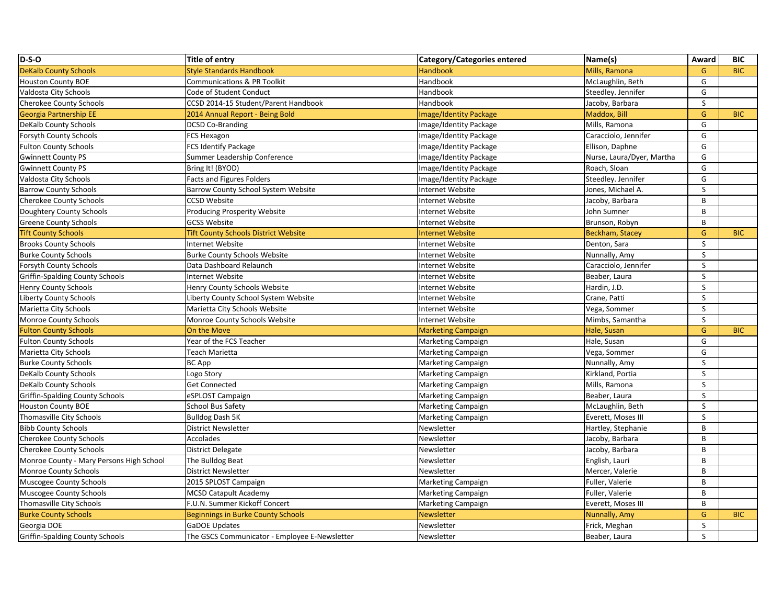| $D-S-O$                                  | <b>Title of entry</b>                         | Category/Categories entered   | Name(s)                   | Award          | <b>BIC</b> |
|------------------------------------------|-----------------------------------------------|-------------------------------|---------------------------|----------------|------------|
| <b>DeKalb County Schools</b>             | <b>Style Standards Handbook</b>               | <b>Handbook</b>               | Mills, Ramona             | G              | <b>BIC</b> |
| <b>Houston County BOE</b>                | Communications & PR Toolkit                   | Handbook                      | McLaughlin, Beth          | G              |            |
| Valdosta City Schools                    | Code of Student Conduct                       | Handbook                      | Steedley. Jennifer        | G              |            |
| <b>Cherokee County Schools</b>           | CCSD 2014-15 Student/Parent Handbook          | Handbook                      | Jacoby, Barbara           | S              |            |
| <b>Georgia Partnership EE</b>            | 2014 Annual Report - Being Bold               | <b>Image/Identity Package</b> | Maddox, Bill              | G              | <b>BIC</b> |
| <b>DeKalb County Schools</b>             | <b>DCSD Co-Branding</b>                       | Image/Identity Package        | Mills, Ramona             | G              |            |
| Forsyth County Schools                   | FCS Hexagon                                   | Image/Identity Package        | Caracciolo, Jennifer      | G              |            |
| <b>Fulton County Schools</b>             | <b>FCS Identify Package</b>                   | Image/Identity Package        | Ellison, Daphne           | G              |            |
| <b>Gwinnett County PS</b>                | Summer Leadership Conference                  | Image/Identity Package        | Nurse, Laura/Dyer, Martha | G              |            |
| <b>Gwinnett County PS</b>                | Bring It! (BYOD)                              | Image/Identity Package        | Roach, Sloan              | G              |            |
| Valdosta City Schools                    | <b>Facts and Figures Folders</b>              | Image/Identity Package        | Steedley. Jennifer        | G              |            |
| <b>Barrow County Schools</b>             | Barrow County School System Website           | Internet Website              | Jones, Michael A.         | $\sf S$        |            |
| Cherokee County Schools                  | <b>CCSD Website</b>                           | Internet Website              | Jacoby, Barbara           | B              |            |
| Doughtery County Schools                 | <b>Producing Prosperity Website</b>           | Internet Website              | John Sumner               | $\overline{B}$ |            |
| <b>Greene County Schools</b>             | <b>GCSS Website</b>                           | Internet Website              | Brunson, Robyn            | B              |            |
| <b>Tift County Schools</b>               | <b>Tift County Schools District Website</b>   | <b>Internet Website</b>       | <b>Beckham, Stacey</b>    | G              | <b>BIC</b> |
| <b>Brooks County Schools</b>             | Internet Website                              | Internet Website              | Denton, Sara              | S              |            |
| <b>Burke County Schools</b>              | <b>Burke County Schools Website</b>           | Internet Website              | Nunnally, Amy             | $\sf S$        |            |
| Forsyth County Schools                   | Data Dashboard Relaunch                       | Internet Website              | Caracciolo, Jennifer      | S              |            |
| <b>Griffin-Spalding County Schools</b>   | Internet Website                              | Internet Website              | Beaber, Laura             | S              |            |
| Henry County Schools                     | Henry County Schools Website                  | Internet Website              | Hardin, J.D.              | S              |            |
| <b>Liberty County Schools</b>            | Liberty County School System Website          | Internet Website              | Crane, Patti              | S              |            |
| Marietta City Schools                    | Marietta City Schools Website                 | Internet Website              | Vega, Sommer              | S              |            |
| Monroe County Schools                    | Monroe County Schools Website                 | Internet Website              | Mimbs, Samantha           | $\sf S$        |            |
| <b>Fulton County Schools</b>             | On the Move                                   | <b>Marketing Campaign</b>     | Hale, Susan               | G              | <b>BIC</b> |
| <b>Fulton County Schools</b>             | Year of the FCS Teacher                       | Marketing Campaign            | Hale, Susan               | G              |            |
| Marietta City Schools                    | Teach Marietta                                | Marketing Campaign            | Vega, Sommer              | G              |            |
| <b>Burke County Schools</b>              | <b>BC App</b>                                 | Marketing Campaign            | Nunnally, Amy             | S              |            |
| DeKalb County Schools                    | Logo Story                                    | Marketing Campaign            | Kirkland, Portia          | S              |            |
| <b>DeKalb County Schools</b>             | Get Connected                                 | Marketing Campaign            | Mills, Ramona             | $\mathsf{S}$   |            |
| Griffin-Spalding County Schools          | eSPLOST Campaign                              | Marketing Campaign            | Beaber, Laura             | S              |            |
| <b>Houston County BOE</b>                | School Bus Safety                             | Marketing Campaign            | McLaughlin, Beth          | S              |            |
| Thomasville City Schools                 | <b>Bulldog Dash 5K</b>                        | Marketing Campaign            | Everett, Moses III        | $\mathsf{S}$   |            |
| <b>Bibb County Schools</b>               | <b>District Newsletter</b>                    | Newsletter                    | Hartley, Stephanie        | B              |            |
| <b>Cherokee County Schools</b>           | Accolades                                     | Newsletter                    | Jacoby, Barbara           | $\overline{B}$ |            |
| <b>Cherokee County Schools</b>           | <b>District Delegate</b>                      | Newsletter                    | Jacoby, Barbara           | $\mathbf{B}$   |            |
| Monroe County - Mary Persons High School | The Bulldog Beat                              | Newsletter                    | English, Lauri            | B              |            |
| Monroe County Schools                    | <b>District Newsletter</b>                    | Newsletter                    | Mercer, Valerie           | $\overline{B}$ |            |
| Muscogee County Schools                  | 2015 SPLOST Campaign                          | Marketing Campaign            | Fuller, Valerie           | B              |            |
| Muscogee County Schools                  | <b>MCSD Catapult Academy</b>                  | Marketing Campaign            | Fuller, Valerie           | B              |            |
| Thomasville City Schools                 | F.U.N. Summer Kickoff Concert                 | Marketing Campaign            | Everett, Moses III        | $\overline{B}$ |            |
| <b>Burke County Schools</b>              | <b>Beginnings in Burke County Schools</b>     | <b>Newsletter</b>             | Nunnally, Amy             | G              | <b>BIC</b> |
| Georgia DOE                              | GaDOE Updates                                 | Newsletter                    | Frick, Meghan             | S              |            |
| <b>Griffin-Spalding County Schools</b>   | The GSCS Communicator - Employee E-Newsletter | Newsletter                    | Beaber, Laura             | S.             |            |